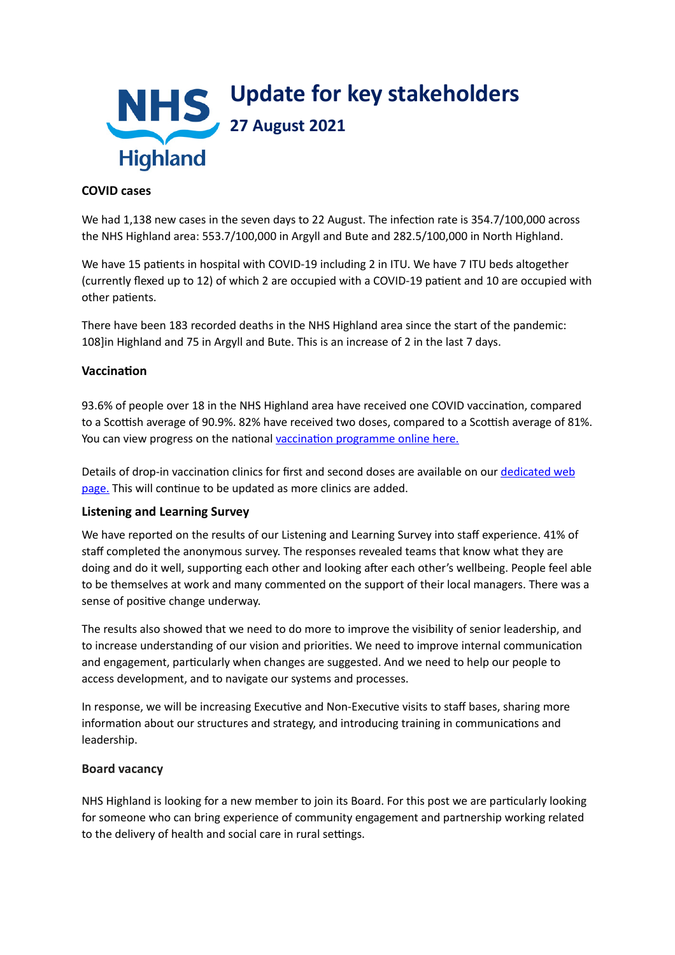

### **COVID cases**

We had 1,138 new cases in the seven days to 22 August. The infection rate is 354.7/100,000 across the NHS Highland area: 553.7/100,000 in Argyll and Bute and 282.5/100,000 in North Highland.

We have 15 patients in hospital with COVID-19 including 2 in ITU. We have 7 ITU beds altogether (currently flexed up to 12) of which 2 are occupied with a COVID-19 patient and 10 are occupied with other patients.

There have been 183 recorded deaths in the NHS Highland area since the start of the pandemic: 108]in Highland and 75 in Argyll and Bute. This is an increase of 2 in the last 7 days.

#### **Vaccination**

93.6% of people over 18 in the NHS Highland area have received one COVID vaccination, compared to a Scottish average of 90.9%. 82% have received two doses, compared to a Scottish average of 81%. You can view progress on the national vaccination programme online here.

Details of drop-in vaccination clinics for first and second doses are available on our dedicated web [page.](https://www.nhshighland.scot.nhs.uk/COVID19/Pages/Vaccination.aspx) This will continue to be updated as more clinics are added.

## **Listening and Learning Survey**

We have reported on the results of our Listening and Learning Survey into staff experience. 41% of staff completed the anonymous survey. The responses revealed teams that know what they are doing and do it well, supporting each other and looking after each other's wellbeing. People feel able to be themselves at work and many commented on the support of their local managers. There was a sense of positive change underway.

The results also showed that we need to do more to improve the visibility of senior leadership, and to increase understanding of our vision and priorities. We need to improve internal communication and engagement, particularly when changes are suggested. And we need to help our people to access development, and to navigate our systems and processes.

In response, we will be increasing Executive and Non-Executive visits to staff bases, sharing more information about our structures and strategy, and introducing training in communications and leadership.

#### **Board vacancy**

NHS Highland is looking for a new member to join its Board. For this post we are particularly looking for someone who can bring experience of community engagement and partnership working related to the delivery of health and social care in rural settings.